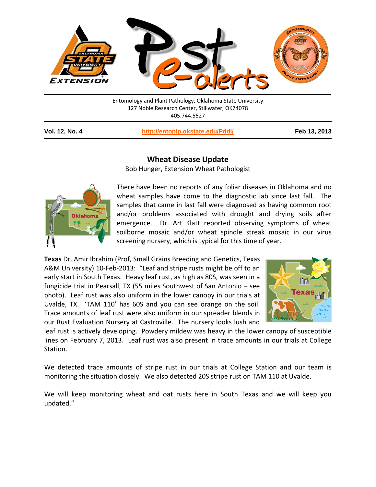

127 Noble Research Center, Stillwater, OK74078 405.744.5527

**Vol. 12, No. 4 <http://entoplp.okstate.edu/Pddl/> Feb 13, 2013**

## **Wheat Disease Update**

Bob Hunger, Extension Wheat Pathologist



There have been no reports of any foliar diseases in Oklahoma and no wheat samples have come to the diagnostic lab since last fall. The samples that came in last fall were diagnosed as having common root and/or problems associated with drought and drying soils after emergence. Dr. Art Klatt reported observing symptoms of wheat soilborne mosaic and/or wheat spindle streak mosaic in our virus screening nursery, which is typical for this time of year.

**Texas** Dr. Amir Ibrahim (Prof, Small Grains Breeding and Genetics, Texas A&M University) 10-Feb-2013: "Leaf and stripe rusts might be off to an early start in South Texas. Heavy leaf rust, as high as 80S, was seen in a fungicide trial in Pearsall, TX (55 miles Southwest of San Antonio – see photo). Leaf rust was also uniform in the lower canopy in our trials at Uvalde, TX. 'TAM 110' has 60S and you can see orange on the soil. Trace amounts of leaf rust were also uniform in our spreader blends in our Rust Evaluation Nursery at Castroville. The nursery looks lush and



leaf rust is actively developing. Powdery mildew was heavy in the lower canopy of susceptible lines on February 7, 2013. Leaf rust was also present in trace amounts in our trials at College Station.

We detected trace amounts of stripe rust in our trials at College Station and our team is monitoring the situation closely. We also detected 20S stripe rust on TAM 110 at Uvalde.

We will keep monitoring wheat and oat rusts here in South Texas and we will keep you updated."